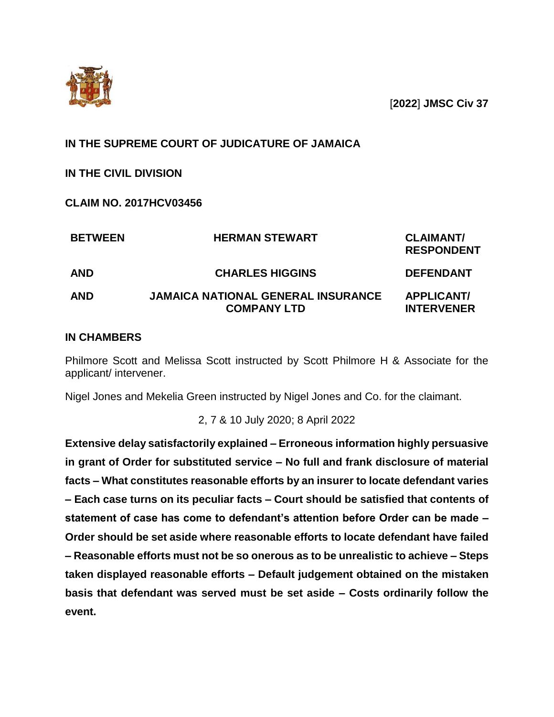

[**2022**] **JMSC Civ 37**

## **IN THE SUPREME COURT OF JUDICATURE OF JAMAICA**

**IN THE CIVIL DIVISION** 

**CLAIM NO. 2017HCV03456**

| <b>BETWEEN</b> | <b>HERMAN STEWART</b>                                           | <b>CLAIMANT/</b><br><b>RESPONDENT</b>  |
|----------------|-----------------------------------------------------------------|----------------------------------------|
| <b>AND</b>     | <b>CHARLES HIGGINS</b>                                          | <b>DEFENDANT</b>                       |
| <b>AND</b>     | <b>JAMAICA NATIONAL GENERAL INSURANCE</b><br><b>COMPANY LTD</b> | <b>APPLICANT/</b><br><b>INTERVENER</b> |

### **IN CHAMBERS**

Philmore Scott and Melissa Scott instructed by Scott Philmore H & Associate for the applicant/ intervener.

Nigel Jones and Mekelia Green instructed by Nigel Jones and Co. for the claimant.

2, 7 & 10 July 2020; 8 April 2022

**Extensive delay satisfactorily explained – Erroneous information highly persuasive in grant of Order for substituted service – No full and frank disclosure of material facts – What constitutes reasonable efforts by an insurer to locate defendant varies – Each case turns on its peculiar facts – Court should be satisfied that contents of statement of case has come to defendant's attention before Order can be made – Order should be set aside where reasonable efforts to locate defendant have failed – Reasonable efforts must not be so onerous as to be unrealistic to achieve – Steps taken displayed reasonable efforts – Default judgement obtained on the mistaken basis that defendant was served must be set aside – Costs ordinarily follow the event.**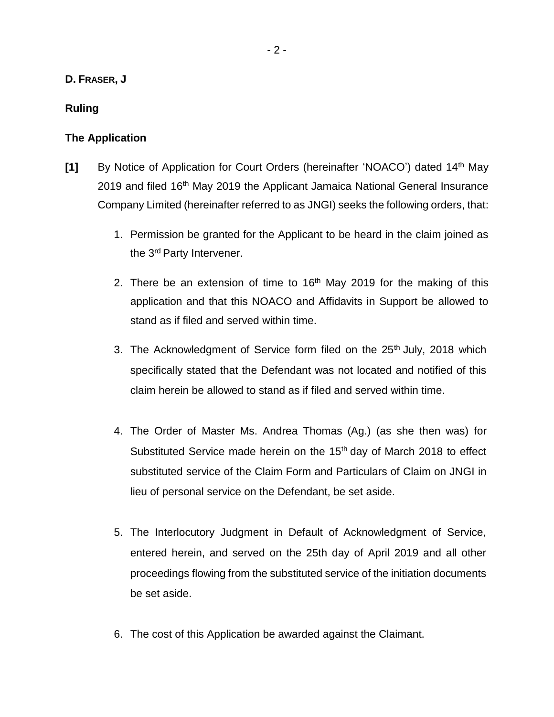#### **D. FRASER, J**

### **Ruling**

#### **The Application**

- **[1]** By Notice of Application for Court Orders (hereinafter 'NOACO') dated 14<sup>th</sup> May 2019 and filed 16<sup>th</sup> May 2019 the Applicant Jamaica National General Insurance Company Limited (hereinafter referred to as JNGI) seeks the following orders, that:
	- 1. Permission be granted for the Applicant to be heard in the claim joined as the 3rd Party Intervener.
	- 2. There be an extension of time to  $16<sup>th</sup>$  May 2019 for the making of this application and that this NOACO and Affidavits in Support be allowed to stand as if filed and served within time.
	- 3. The Acknowledgment of Service form filed on the 25<sup>th</sup> July, 2018 which specifically stated that the Defendant was not located and notified of this claim herein be allowed to stand as if filed and served within time.
	- 4. The Order of Master Ms. Andrea Thomas (Ag.) (as she then was) for Substituted Service made herein on the  $15<sup>th</sup>$  day of March 2018 to effect substituted service of the Claim Form and Particulars of Claim on JNGI in lieu of personal service on the Defendant, be set aside.
	- 5. The Interlocutory Judgment in Default of Acknowledgment of Service, entered herein, and served on the 25th day of April 2019 and all other proceedings flowing from the substituted service of the initiation documents be set aside.
	- 6. The cost of this Application be awarded against the Claimant.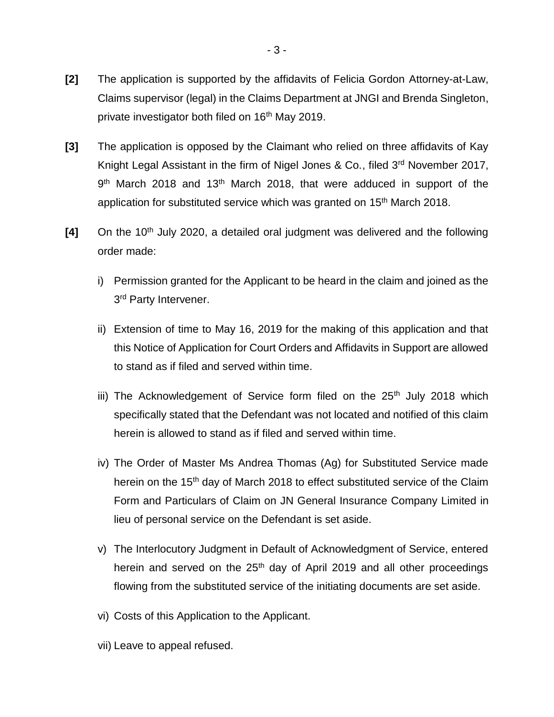- **[2]** The application is supported by the affidavits of Felicia Gordon Attorney-at-Law, Claims supervisor (legal) in the Claims Department at JNGI and Brenda Singleton, private investigator both filed on 16<sup>th</sup> May 2019.
- **[3]** The application is opposed by the Claimant who relied on three affidavits of Kay Knight Legal Assistant in the firm of Nigel Jones & Co., filed 3<sup>rd</sup> November 2017, 9<sup>th</sup> March 2018 and 13<sup>th</sup> March 2018, that were adduced in support of the application for substituted service which was granted on 15<sup>th</sup> March 2018.
- [4] On the 10<sup>th</sup> July 2020, a detailed oral judgment was delivered and the following order made:
	- i) Permission granted for the Applicant to be heard in the claim and joined as the 3<sup>rd</sup> Party Intervener.
	- ii) Extension of time to May 16, 2019 for the making of this application and that this Notice of Application for Court Orders and Affidavits in Support are allowed to stand as if filed and served within time.
	- iii) The Acknowledgement of Service form filed on the  $25<sup>th</sup>$  July 2018 which specifically stated that the Defendant was not located and notified of this claim herein is allowed to stand as if filed and served within time.
	- iv) The Order of Master Ms Andrea Thomas (Ag) for Substituted Service made herein on the 15<sup>th</sup> day of March 2018 to effect substituted service of the Claim Form and Particulars of Claim on JN General Insurance Company Limited in lieu of personal service on the Defendant is set aside.
	- v) The Interlocutory Judgment in Default of Acknowledgment of Service, entered herein and served on the  $25<sup>th</sup>$  day of April 2019 and all other proceedings flowing from the substituted service of the initiating documents are set aside.
	- vi) Costs of this Application to the Applicant.
	- vii) Leave to appeal refused.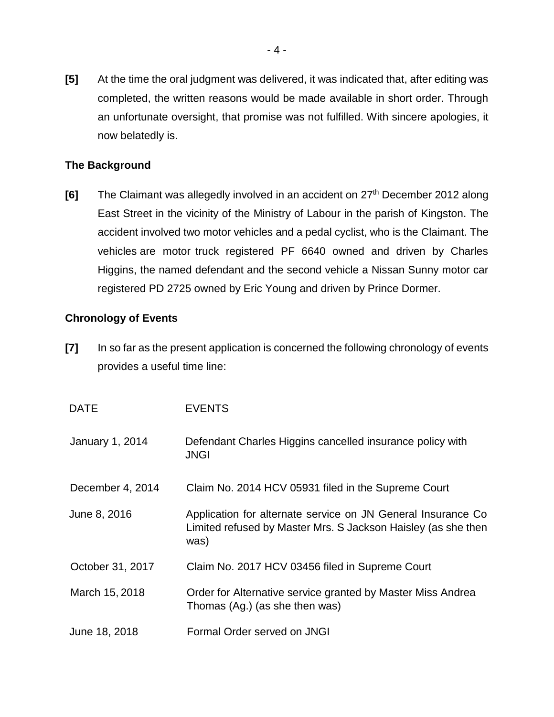**[5]** At the time the oral judgment was delivered, it was indicated that, after editing was completed, the written reasons would be made available in short order. Through an unfortunate oversight, that promise was not fulfilled. With sincere apologies, it now belatedly is.

## **The Background**

**[6]** The Claimant was allegedly involved in an accident on 27<sup>th</sup> December 2012 along East Street in the vicinity of the Ministry of Labour in the parish of Kingston. The accident involved two motor vehicles and a pedal cyclist, who is the Claimant. The vehicles are motor truck registered PF 6640 owned and driven by Charles Higgins, the named defendant and the second vehicle a Nissan Sunny motor car registered PD 2725 owned by Eric Young and driven by Prince Dormer.

## **Chronology of Events**

**[7]** In so far as the present application is concerned the following chronology of events provides a useful time line:

| <b>DATE</b>      | <b>EVENTS</b>                                                                                                                         |
|------------------|---------------------------------------------------------------------------------------------------------------------------------------|
| January 1, 2014  | Defendant Charles Higgins cancelled insurance policy with<br><b>JNGI</b>                                                              |
| December 4, 2014 | Claim No. 2014 HCV 05931 filed in the Supreme Court                                                                                   |
| June 8, 2016     | Application for alternate service on JN General Insurance Co<br>Limited refused by Master Mrs. S Jackson Haisley (as she then<br>was) |
| October 31, 2017 | Claim No. 2017 HCV 03456 filed in Supreme Court                                                                                       |
| March 15, 2018   | Order for Alternative service granted by Master Miss Andrea<br>Thomas (Ag.) (as she then was)                                         |
| June 18, 2018    | Formal Order served on JNGI                                                                                                           |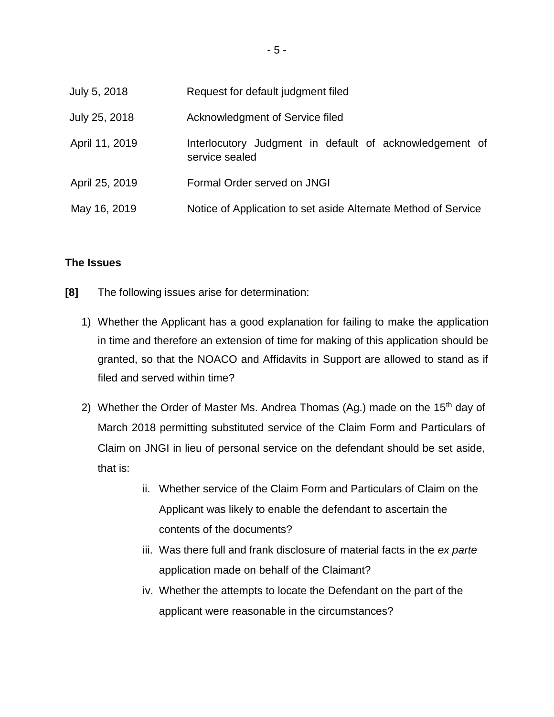| July 5, 2018   | Request for default judgment filed                                        |
|----------------|---------------------------------------------------------------------------|
| July 25, 2018  | Acknowledgment of Service filed                                           |
| April 11, 2019 | Interlocutory Judgment in default of acknowledgement of<br>service sealed |
| April 25, 2019 | Formal Order served on JNGI                                               |
| May 16, 2019   | Notice of Application to set aside Alternate Method of Service            |

#### **The Issues**

- **[8]** The following issues arise for determination:
	- 1) Whether the Applicant has a good explanation for failing to make the application in time and therefore an extension of time for making of this application should be granted, so that the NOACO and Affidavits in Support are allowed to stand as if filed and served within time?
	- 2) Whether the Order of Master Ms. Andrea Thomas (Ag.) made on the 15<sup>th</sup> day of March 2018 permitting substituted service of the Claim Form and Particulars of Claim on JNGI in lieu of personal service on the defendant should be set aside, that is:
		- ii. Whether service of the Claim Form and Particulars of Claim on the Applicant was likely to enable the defendant to ascertain the contents of the documents?
		- iii. Was there full and frank disclosure of material facts in the *ex parte* application made on behalf of the Claimant?
		- iv. Whether the attempts to locate the Defendant on the part of the applicant were reasonable in the circumstances?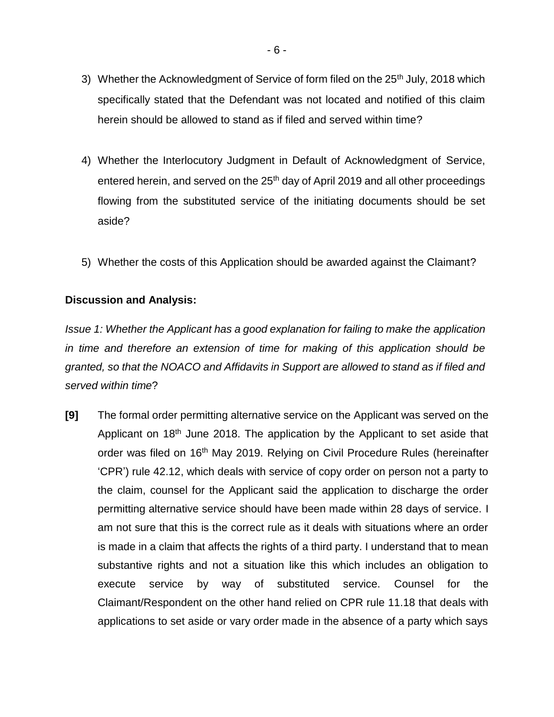- 3) Whether the Acknowledgment of Service of form filed on the 25<sup>th</sup> July, 2018 which specifically stated that the Defendant was not located and notified of this claim herein should be allowed to stand as if filed and served within time?
- 4) Whether the Interlocutory Judgment in Default of Acknowledgment of Service, entered herein, and served on the 25<sup>th</sup> day of April 2019 and all other proceedings flowing from the substituted service of the initiating documents should be set aside?
- 5) Whether the costs of this Application should be awarded against the Claimant?

### **Discussion and Analysis:**

*Issue 1: Whether the Applicant has a good explanation for failing to make the application in time and therefore an extension of time for making of this application should be granted, so that the NOACO and Affidavits in Support are allowed to stand as if filed and served within time*?

**[9]** The formal order permitting alternative service on the Applicant was served on the Applicant on 18<sup>th</sup> June 2018. The application by the Applicant to set aside that order was filed on 16<sup>th</sup> May 2019. Relying on Civil Procedure Rules (hereinafter 'CPR') rule 42.12, which deals with service of copy order on person not a party to the claim, counsel for the Applicant said the application to discharge the order permitting alternative service should have been made within 28 days of service. I am not sure that this is the correct rule as it deals with situations where an order is made in a claim that affects the rights of a third party. I understand that to mean substantive rights and not a situation like this which includes an obligation to execute service by way of substituted service. Counsel for the Claimant/Respondent on the other hand relied on CPR rule 11.18 that deals with applications to set aside or vary order made in the absence of a party which says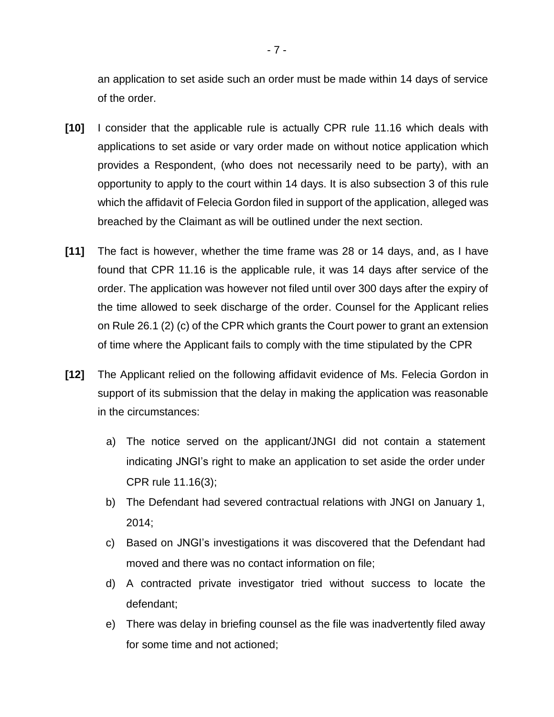an application to set aside such an order must be made within 14 days of service of the order.

- **[10]** I consider that the applicable rule is actually CPR rule 11.16 which deals with applications to set aside or vary order made on without notice application which provides a Respondent, (who does not necessarily need to be party), with an opportunity to apply to the court within 14 days. It is also subsection 3 of this rule which the affidavit of Felecia Gordon filed in support of the application, alleged was breached by the Claimant as will be outlined under the next section.
- **[11]** The fact is however, whether the time frame was 28 or 14 days, and, as I have found that CPR 11.16 is the applicable rule, it was 14 days after service of the order. The application was however not filed until over 300 days after the expiry of the time allowed to seek discharge of the order. Counsel for the Applicant relies on Rule 26.1 (2) (c) of the CPR which grants the Court power to grant an extension of time where the Applicant fails to comply with the time stipulated by the CPR
- **[12]** The Applicant relied on the following affidavit evidence of Ms. Felecia Gordon in support of its submission that the delay in making the application was reasonable in the circumstances:
	- a) The notice served on the applicant/JNGI did not contain a statement indicating JNGI's right to make an application to set aside the order under CPR rule 11.16(3);
	- b) The Defendant had severed contractual relations with JNGI on January 1, 2014;
	- c) Based on JNGI's investigations it was discovered that the Defendant had moved and there was no contact information on file;
	- d) A contracted private investigator tried without success to locate the defendant;
	- e) There was delay in briefing counsel as the file was inadvertently filed away for some time and not actioned;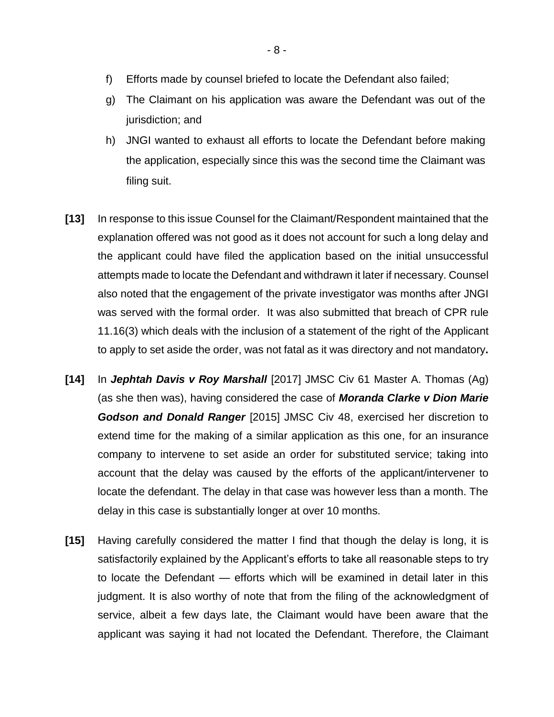- f) Efforts made by counsel briefed to locate the Defendant also failed;
- g) The Claimant on his application was aware the Defendant was out of the jurisdiction; and
- h) JNGI wanted to exhaust all efforts to locate the Defendant before making the application, especially since this was the second time the Claimant was filing suit.
- **[13]** In response to this issue Counsel for the Claimant/Respondent maintained that the explanation offered was not good as it does not account for such a long delay and the applicant could have filed the application based on the initial unsuccessful attempts made to locate the Defendant and withdrawn it later if necessary. Counsel also noted that the engagement of the private investigator was months after JNGI was served with the formal order. It was also submitted that breach of CPR rule 11.16(3) which deals with the inclusion of a statement of the right of the Applicant to apply to set aside the order, was not fatal as it was directory and not mandatory**.**
- **[14]** In *Jephtah Davis v Roy Marshall* [2017] JMSC Civ 61 Master A. Thomas (Ag) (as she then was), having considered the case of *Moranda Clarke v Dion Marie Godson and Donald Ranger* [2015] JMSC Civ 48, exercised her discretion to extend time for the making of a similar application as this one, for an insurance company to intervene to set aside an order for substituted service; taking into account that the delay was caused by the efforts of the applicant/intervener to locate the defendant. The delay in that case was however less than a month. The delay in this case is substantially longer at over 10 months.
- **[15]** Having carefully considered the matter I find that though the delay is long, it is satisfactorily explained by the Applicant's efforts to take all reasonable steps to try to locate the Defendant — efforts which will be examined in detail later in this judgment. It is also worthy of note that from the filing of the acknowledgment of service, albeit a few days late, the Claimant would have been aware that the applicant was saying it had not located the Defendant. Therefore, the Claimant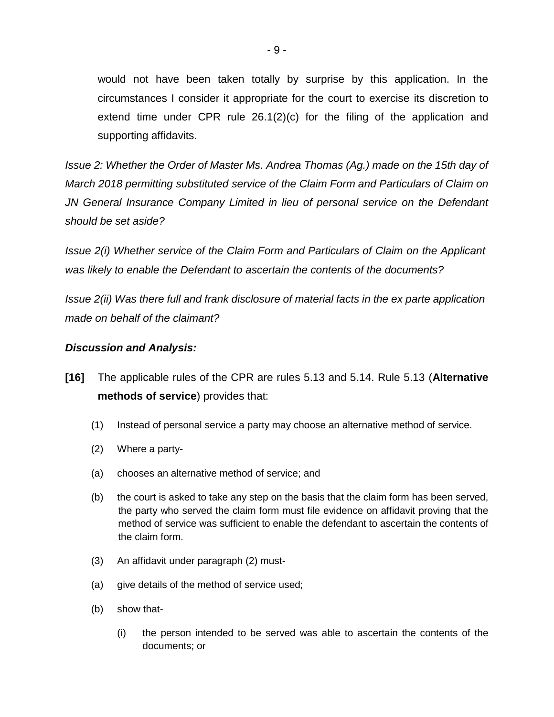would not have been taken totally by surprise by this application. In the circumstances I consider it appropriate for the court to exercise its discretion to extend time under CPR rule 26.1(2)(c) for the filing of the application and supporting affidavits.

*Issue 2: Whether the Order of Master Ms. Andrea Thomas (Ag.) made on the 15th day of March 2018 permitting substituted service of the Claim Form and Particulars of Claim on JN General Insurance Company Limited in lieu of personal service on the Defendant should be set aside?*

*Issue 2(i) Whether service of the Claim Form and Particulars of Claim on the Applicant was likely to enable the Defendant to ascertain the contents of the documents?*

*Issue 2(ii) Was there full and frank disclosure of material facts in the ex parte application made on behalf of the claimant?*

#### *Discussion and Analysis:*

- **[16]** The applicable rules of the CPR are rules 5.13 and 5.14. Rule 5.13 (**Alternative methods of service**) provides that:
	- (1) Instead of personal service a party may choose an alternative method of service.
	- (2) Where a party-
	- (a) chooses an alternative method of service; and
	- (b) the court is asked to take any step on the basis that the claim form has been served, the party who served the claim form must file evidence on affidavit proving that the method of service was sufficient to enable the defendant to ascertain the contents of the claim form.
	- (3) An affidavit under paragraph (2) must-
	- (a) give details of the method of service used;
	- (b) show that-
		- (i) the person intended to be served was able to ascertain the contents of the documents; or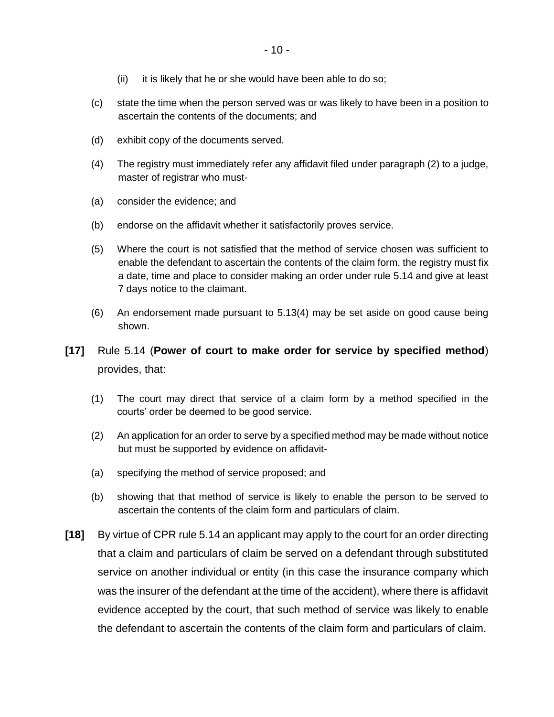- (ii) it is likely that he or she would have been able to do so;
- (c) state the time when the person served was or was likely to have been in a position to ascertain the contents of the documents; and
- (d) exhibit copy of the documents served.
- (4) The registry must immediately refer any affidavit filed under paragraph (2) to a judge, master of registrar who must-
- (a) consider the evidence; and
- (b) endorse on the affidavit whether it satisfactorily proves service.
- (5) Where the court is not satisfied that the method of service chosen was sufficient to enable the defendant to ascertain the contents of the claim form, the registry must fix a date, time and place to consider making an order under rule 5.14 and give at least 7 days notice to the claimant.
- (6) An endorsement made pursuant to 5.13(4) may be set aside on good cause being shown.
- **[17]** Rule 5.14 (**Power of court to make order for service by specified method**) provides, that:
	- (1) The court may direct that service of a claim form by a method specified in the courts' order be deemed to be good service.
	- (2) An application for an order to serve by a specified method may be made without notice but must be supported by evidence on affidavit-
	- (a) specifying the method of service proposed; and
	- (b) showing that that method of service is likely to enable the person to be served to ascertain the contents of the claim form and particulars of claim.
- **[18]** By virtue of CPR rule 5.14 an applicant may apply to the court for an order directing that a claim and particulars of claim be served on a defendant through substituted service on another individual or entity (in this case the insurance company which was the insurer of the defendant at the time of the accident), where there is affidavit evidence accepted by the court, that such method of service was likely to enable the defendant to ascertain the contents of the claim form and particulars of claim.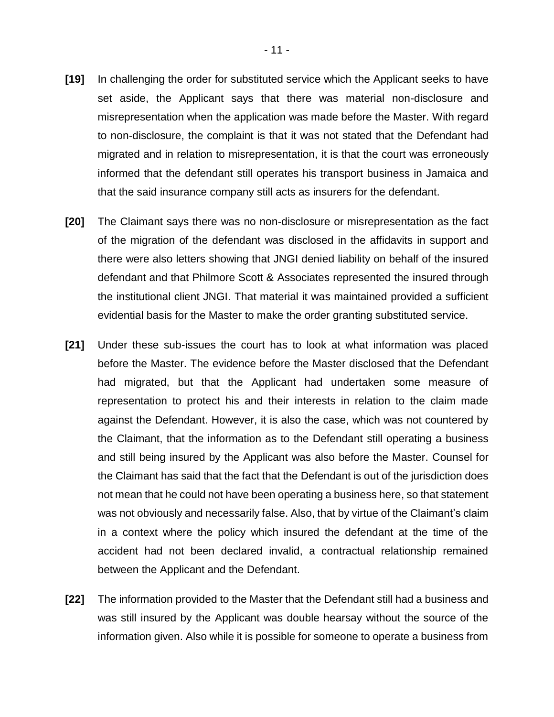- **[19]** In challenging the order for substituted service which the Applicant seeks to have set aside, the Applicant says that there was material non-disclosure and misrepresentation when the application was made before the Master. With regard to non-disclosure, the complaint is that it was not stated that the Defendant had migrated and in relation to misrepresentation, it is that the court was erroneously informed that the defendant still operates his transport business in Jamaica and that the said insurance company still acts as insurers for the defendant.
- **[20]** The Claimant says there was no non-disclosure or misrepresentation as the fact of the migration of the defendant was disclosed in the affidavits in support and there were also letters showing that JNGI denied liability on behalf of the insured defendant and that Philmore Scott & Associates represented the insured through the institutional client JNGI. That material it was maintained provided a sufficient evidential basis for the Master to make the order granting substituted service.
- **[21]** Under these sub-issues the court has to look at what information was placed before the Master. The evidence before the Master disclosed that the Defendant had migrated, but that the Applicant had undertaken some measure of representation to protect his and their interests in relation to the claim made against the Defendant. However, it is also the case, which was not countered by the Claimant, that the information as to the Defendant still operating a business and still being insured by the Applicant was also before the Master. Counsel for the Claimant has said that the fact that the Defendant is out of the jurisdiction does not mean that he could not have been operating a business here, so that statement was not obviously and necessarily false. Also, that by virtue of the Claimant's claim in a context where the policy which insured the defendant at the time of the accident had not been declared invalid, a contractual relationship remained between the Applicant and the Defendant.
- **[22]** The information provided to the Master that the Defendant still had a business and was still insured by the Applicant was double hearsay without the source of the information given. Also while it is possible for someone to operate a business from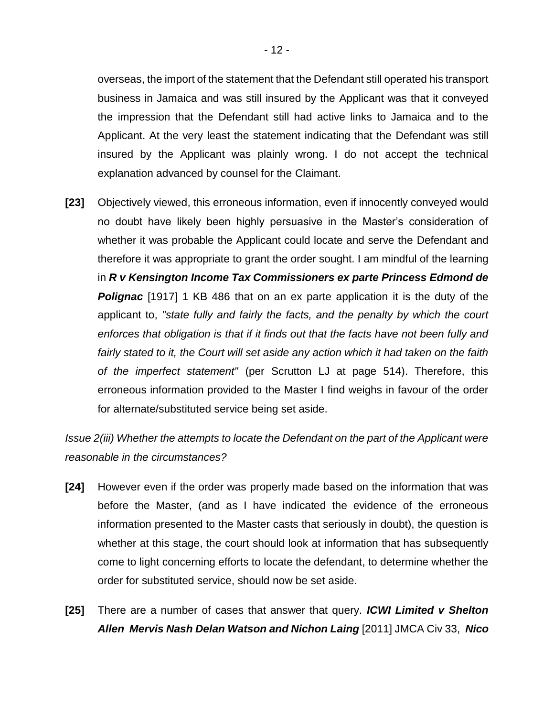overseas, the import of the statement that the Defendant still operated his transport business in Jamaica and was still insured by the Applicant was that it conveyed the impression that the Defendant still had active links to Jamaica and to the Applicant. At the very least the statement indicating that the Defendant was still insured by the Applicant was plainly wrong. I do not accept the technical explanation advanced by counsel for the Claimant.

**[23]** Objectively viewed, this erroneous information, even if innocently conveyed would no doubt have likely been highly persuasive in the Master's consideration of whether it was probable the Applicant could locate and serve the Defendant and therefore it was appropriate to grant the order sought. I am mindful of the learning in *R v Kensington Income Tax Commissioners ex parte Princess Edmond de*  **Polignac** [1917] 1 KB 486 that on an ex parte application it is the duty of the applicant to, *"state fully and fairly the facts, and the penalty by which the court enforces that obligation is that if it finds out that the facts have not been fully and fairly stated to it, the Court will set aside any action which it had taken on the faith of the imperfect statement"* (per Scrutton LJ at page 514). Therefore, this erroneous information provided to the Master I find weighs in favour of the order for alternate/substituted service being set aside.

*Issue 2(iii) Whether the attempts to locate the Defendant on the part of the Applicant were reasonable in the circumstances?*

- **[24]** However even if the order was properly made based on the information that was before the Master, (and as I have indicated the evidence of the erroneous information presented to the Master casts that seriously in doubt), the question is whether at this stage, the court should look at information that has subsequently come to light concerning efforts to locate the defendant, to determine whether the order for substituted service, should now be set aside.
- **[25]** There are a number of cases that answer that query. *ICWI Limited v Shelton Allen Mervis Nash Delan Watson and Nichon Laing* [2011] JMCA Civ 33, *Nico*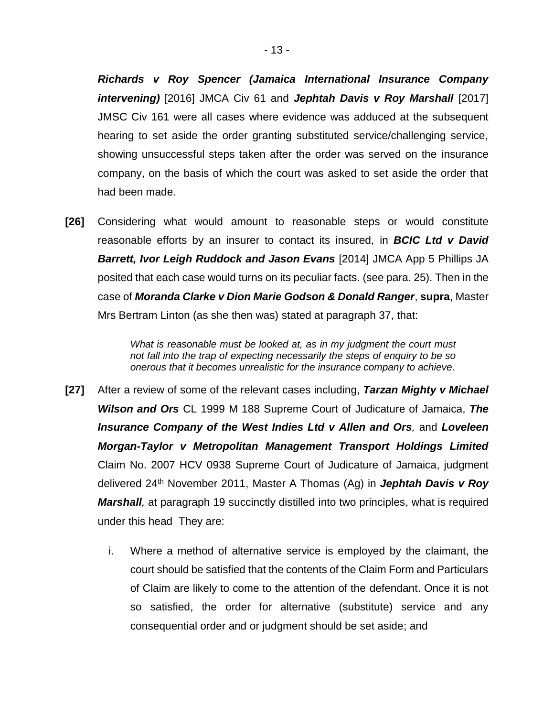*Richards v Roy Spencer (Jamaica International Insurance Company intervening)* [2016] JMCA Civ 61 and *Jephtah Davis v Roy Marshall* [2017] JMSC Civ 161 were all cases where evidence was adduced at the subsequent hearing to set aside the order granting substituted service/challenging service, showing unsuccessful steps taken after the order was served on the insurance company, on the basis of which the court was asked to set aside the order that had been made.

**[26]** Considering what would amount to reasonable steps or would constitute reasonable efforts by an insurer to contact its insured, in *BCIC Ltd v David Barrett, Ivor Leigh Ruddock and Jason Evans* [2014] JMCA App 5 Phillips JA posited that each case would turns on its peculiar facts. (see para. 25). Then in the case of *Moranda Clarke v Dion Marie Godson & Donald Ranger*, **supra**, Master Mrs Bertram Linton (as she then was) stated at paragraph 37, that:

> *What is reasonable must be looked at, as in my judgment the court must not fall into the trap of expecting necessarily the steps of enquiry to be so onerous that it becomes unrealistic for the insurance company to achieve.*

- **[27]** After a review of some of the relevant cases including, *Tarzan Mighty v Michael Wilson and Ors* CL 1999 M 188 Supreme Court of Judicature of Jamaica, *The Insurance Company of the West Indies Ltd v Allen and Ors,* and *Loveleen Morgan-Taylor v Metropolitan Management Transport Holdings Limited* Claim No. 2007 HCV 0938 Supreme Court of Judicature of Jamaica, judgment delivered 24th November 2011, Master A Thomas (Ag) in *Jephtah Davis v Roy Marshall,* at paragraph 19 succinctly distilled into two principles, what is required under this head They are:
	- i. Where a method of alternative service is employed by the claimant, the court should be satisfied that the contents of the Claim Form and Particulars of Claim are likely to come to the attention of the defendant. Once it is not so satisfied, the order for alternative (substitute) service and any consequential order and or judgment should be set aside; and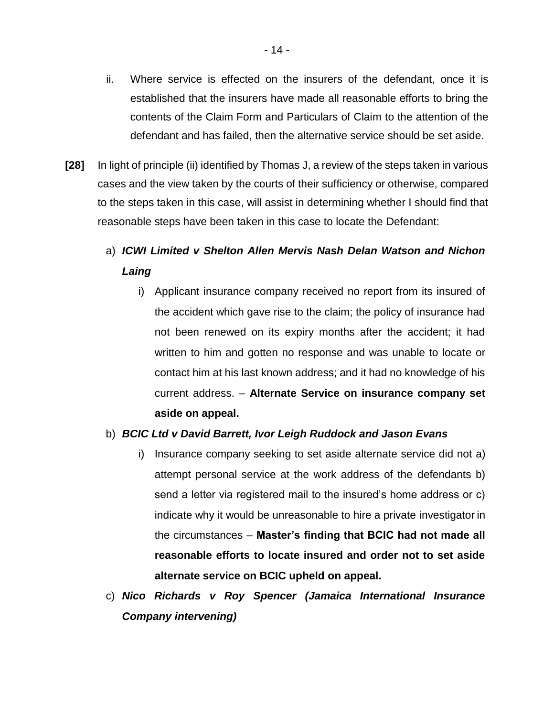- ii. Where service is effected on the insurers of the defendant, once it is established that the insurers have made all reasonable efforts to bring the contents of the Claim Form and Particulars of Claim to the attention of the defendant and has failed, then the alternative service should be set aside.
- **[28]** In light of principle (ii) identified by Thomas J, a review of the steps taken in various cases and the view taken by the courts of their sufficiency or otherwise, compared to the steps taken in this case, will assist in determining whether I should find that reasonable steps have been taken in this case to locate the Defendant:

# a) *ICWI Limited v Shelton Allen Mervis Nash Delan Watson and Nichon Laing*

i) Applicant insurance company received no report from its insured of the accident which gave rise to the claim; the policy of insurance had not been renewed on its expiry months after the accident; it had written to him and gotten no response and was unable to locate or contact him at his last known address; and it had no knowledge of his current address. – **Alternate Service on insurance company set aside on appeal.**

### b) *BCIC Ltd v David Barrett, Ivor Leigh Ruddock and Jason Evans*

- i) Insurance company seeking to set aside alternate service did not a) attempt personal service at the work address of the defendants b) send a letter via registered mail to the insured's home address or c) indicate why it would be unreasonable to hire a private investigator in the circumstances – **Master's finding that BCIC had not made all reasonable efforts to locate insured and order not to set aside alternate service on BCIC upheld on appeal.**
- c) *Nico Richards v Roy Spencer (Jamaica International Insurance Company intervening)*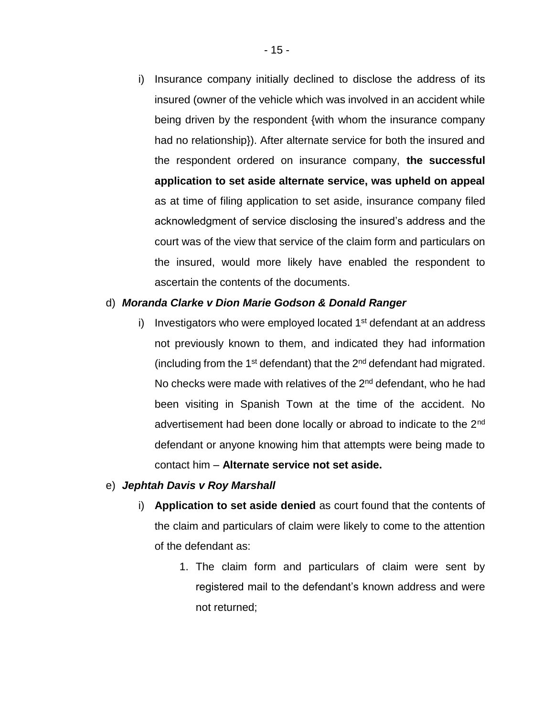i) Insurance company initially declined to disclose the address of its insured (owner of the vehicle which was involved in an accident while being driven by the respondent {with whom the insurance company had no relationship}). After alternate service for both the insured and the respondent ordered on insurance company, **the successful application to set aside alternate service, was upheld on appeal** as at time of filing application to set aside, insurance company filed acknowledgment of service disclosing the insured's address and the court was of the view that service of the claim form and particulars on the insured, would more likely have enabled the respondent to ascertain the contents of the documents.

#### d) *Moranda Clarke v Dion Marie Godson & Donald Ranger*

i) Investigators who were employed located  $1<sup>st</sup>$  defendant at an address not previously known to them, and indicated they had information (including from the  $1<sup>st</sup>$  defendant) that the  $2<sup>nd</sup>$  defendant had migrated. No checks were made with relatives of the  $2<sup>nd</sup>$  defendant, who he had been visiting in Spanish Town at the time of the accident. No advertisement had been done locally or abroad to indicate to the 2<sup>nd</sup> defendant or anyone knowing him that attempts were being made to contact him – **Alternate service not set aside.**

#### e) *Jephtah Davis v Roy Marshall*

- i) **Application to set aside denied** as court found that the contents of the claim and particulars of claim were likely to come to the attention of the defendant as:
	- 1. The claim form and particulars of claim were sent by registered mail to the defendant's known address and were not returned;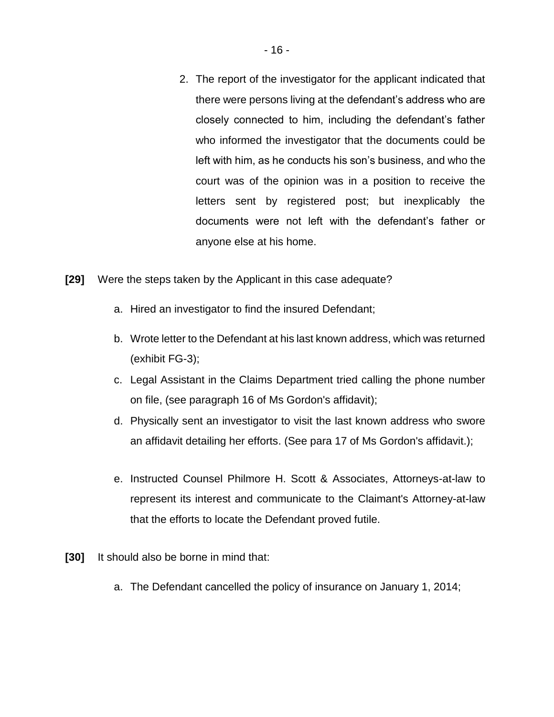- 2. The report of the investigator for the applicant indicated that there were persons living at the defendant's address who are closely connected to him, including the defendant's father who informed the investigator that the documents could be left with him, as he conducts his son's business, and who the court was of the opinion was in a position to receive the letters sent by registered post; but inexplicably the documents were not left with the defendant's father or anyone else at his home.
- **[29]** Were the steps taken by the Applicant in this case adequate?
	- a. Hired an investigator to find the insured Defendant;
	- b. Wrote letter to the Defendant at his last known address, which was returned (exhibit FG-3);
	- c. Legal Assistant in the Claims Department tried calling the phone number on file, (see paragraph 16 of Ms Gordon's affidavit);
	- d. Physically sent an investigator to visit the last known address who swore an affidavit detailing her efforts. (See para 17 of Ms Gordon's affidavit.);
	- e. Instructed Counsel Philmore H. Scott & Associates, Attorneys-at-law to represent its interest and communicate to the Claimant's Attorney-at-law that the efforts to locate the Defendant proved futile.
- **[30]** It should also be borne in mind that:
	- a. The Defendant cancelled the policy of insurance on January 1, 2014;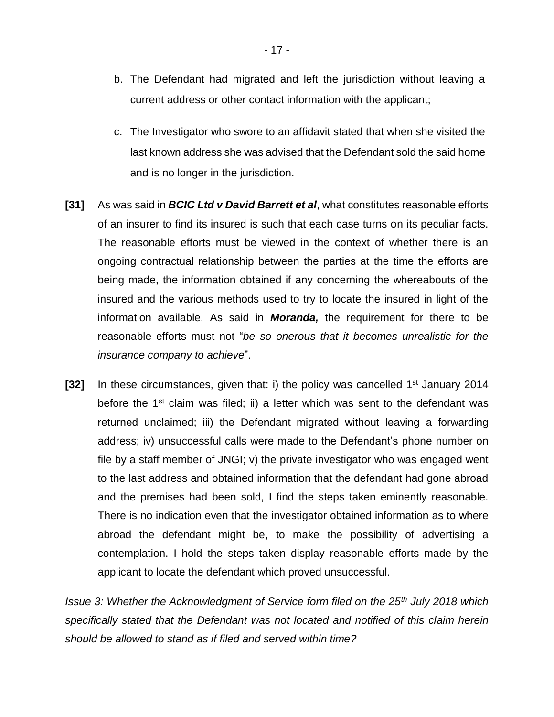- b. The Defendant had migrated and left the jurisdiction without leaving a current address or other contact information with the applicant;
- c. The Investigator who swore to an affidavit stated that when she visited the last known address she was advised that the Defendant sold the said home and is no longer in the jurisdiction.
- **[31]** As was said in *BCIC Ltd v David Barrett et al*, what constitutes reasonable efforts of an insurer to find its insured is such that each case turns on its peculiar facts. The reasonable efforts must be viewed in the context of whether there is an ongoing contractual relationship between the parties at the time the efforts are being made, the information obtained if any concerning the whereabouts of the insured and the various methods used to try to locate the insured in light of the information available. As said in *Moranda,* the requirement for there to be reasonable efforts must not "*be so onerous that it becomes unrealistic for the insurance company to achieve*".
- **[32]** In these circumstances, given that: i) the policy was cancelled 1<sup>st</sup> January 2014 before the 1<sup>st</sup> claim was filed; ii) a letter which was sent to the defendant was returned unclaimed; iii) the Defendant migrated without leaving a forwarding address; iv) unsuccessful calls were made to the Defendant's phone number on file by a staff member of JNGI; v) the private investigator who was engaged went to the last address and obtained information that the defendant had gone abroad and the premises had been sold, I find the steps taken eminently reasonable. There is no indication even that the investigator obtained information as to where abroad the defendant might be, to make the possibility of advertising a contemplation. I hold the steps taken display reasonable efforts made by the applicant to locate the defendant which proved unsuccessful.

*Issue 3: Whether the Acknowledgment of Service form filed on the 25th July 2018 which specifically stated that the Defendant was not located and notified of this claim herein should be allowed to stand as if filed and served within time?*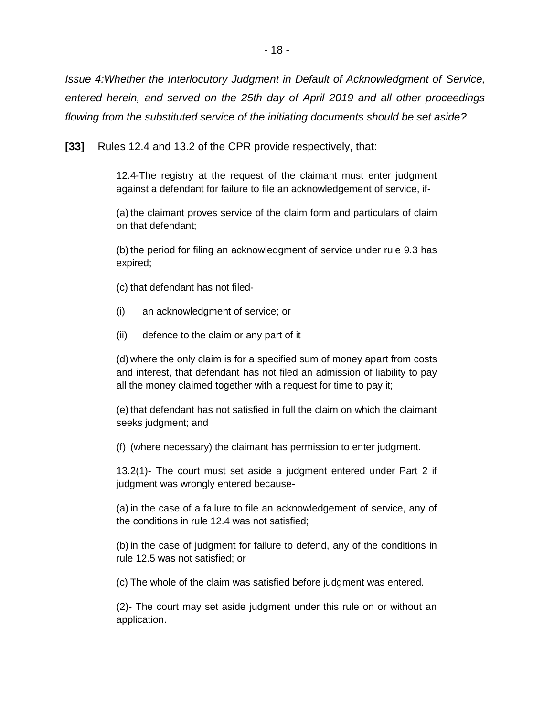*Issue 4:Whether the Interlocutory Judgment in Default of Acknowledgment of Service, entered herein, and served on the 25th day of April 2019 and all other proceedings flowing from the substituted service of the initiating documents should be set aside?*

**[33]** Rules 12.4 and 13.2 of the CPR provide respectively, that:

12.4-The registry at the request of the claimant must enter judgment against a defendant for failure to file an acknowledgement of service, if-

(a) the claimant proves service of the claim form and particulars of claim on that defendant;

(b)the period for filing an acknowledgment of service under rule 9.3 has expired;

(c) that defendant has not filed-

- (i) an acknowledgment of service; or
- (ii) defence to the claim or any part of it

(d) where the only claim is for a specified sum of money apart from costs and interest, that defendant has not filed an admission of liability to pay all the money claimed together with a request for time to pay it;

(e) that defendant has not satisfied in full the claim on which the claimant seeks judgment; and

(f) (where necessary) the claimant has permission to enter judgment.

13.2(1)- The court must set aside a judgment entered under Part 2 if judgment was wrongly entered because-

(a)in the case of a failure to file an acknowledgement of service, any of the conditions in rule 12.4 was not satisfied;

(b)in the case of judgment for failure to defend, any of the conditions in rule 12.5 was not satisfied; or

(c) The whole of the claim was satisfied before judgment was entered.

(2)- The court may set aside judgment under this rule on or without an application.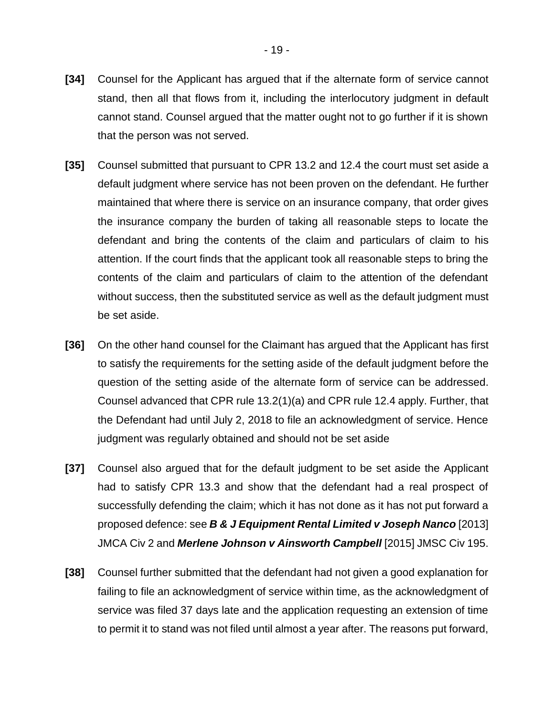- **[34]** Counsel for the Applicant has argued that if the alternate form of service cannot stand, then all that flows from it, including the interlocutory judgment in default cannot stand. Counsel argued that the matter ought not to go further if it is shown that the person was not served.
- **[35]** Counsel submitted that pursuant to CPR 13.2 and 12.4 the court must set aside a default judgment where service has not been proven on the defendant. He further maintained that where there is service on an insurance company, that order gives the insurance company the burden of taking all reasonable steps to locate the defendant and bring the contents of the claim and particulars of claim to his attention. If the court finds that the applicant took all reasonable steps to bring the contents of the claim and particulars of claim to the attention of the defendant without success, then the substituted service as well as the default judgment must be set aside.
- **[36]** On the other hand counsel for the Claimant has argued that the Applicant has first to satisfy the requirements for the setting aside of the default judgment before the question of the setting aside of the alternate form of service can be addressed. Counsel advanced that CPR rule 13.2(1)(a) and CPR rule 12.4 apply. Further, that the Defendant had until July 2, 2018 to file an acknowledgment of service. Hence judgment was regularly obtained and should not be set aside
- **[37]** Counsel also argued that for the default judgment to be set aside the Applicant had to satisfy CPR 13.3 and show that the defendant had a real prospect of successfully defending the claim; which it has not done as it has not put forward a proposed defence: see *B & J Equipment Rental Limited v Joseph Nanco* [2013] JMCA Civ 2 and *Merlene Johnson v Ainsworth Campbell* [2015] JMSC Civ 195.
- **[38]** Counsel further submitted that the defendant had not given a good explanation for failing to file an acknowledgment of service within time, as the acknowledgment of service was filed 37 days late and the application requesting an extension of time to permit it to stand was not filed until almost a year after. The reasons put forward,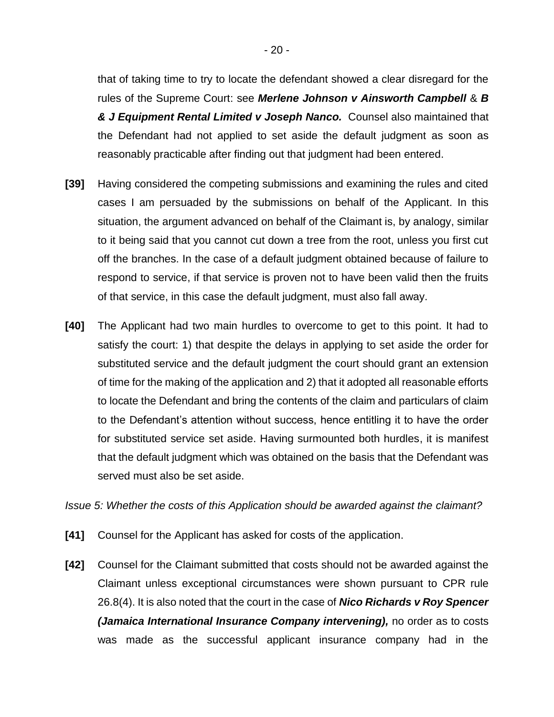that of taking time to try to locate the defendant showed a clear disregard for the rules of the Supreme Court: see *Merlene Johnson v Ainsworth Campbell* & *B & J Equipment Rental Limited v Joseph Nanco.* Counsel also maintained that the Defendant had not applied to set aside the default judgment as soon as reasonably practicable after finding out that judgment had been entered.

- **[39]** Having considered the competing submissions and examining the rules and cited cases I am persuaded by the submissions on behalf of the Applicant. In this situation, the argument advanced on behalf of the Claimant is, by analogy, similar to it being said that you cannot cut down a tree from the root, unless you first cut off the branches. In the case of a default judgment obtained because of failure to respond to service, if that service is proven not to have been valid then the fruits of that service, in this case the default judgment, must also fall away.
- **[40]** The Applicant had two main hurdles to overcome to get to this point. It had to satisfy the court: 1) that despite the delays in applying to set aside the order for substituted service and the default judgment the court should grant an extension of time for the making of the application and 2) that it adopted all reasonable efforts to locate the Defendant and bring the contents of the claim and particulars of claim to the Defendant's attention without success, hence entitling it to have the order for substituted service set aside. Having surmounted both hurdles, it is manifest that the default judgment which was obtained on the basis that the Defendant was served must also be set aside.

*Issue 5: Whether the costs of this Application should be awarded against the claimant?*

- **[41]** Counsel for the Applicant has asked for costs of the application.
- **[42]** Counsel for the Claimant submitted that costs should not be awarded against the Claimant unless exceptional circumstances were shown pursuant to CPR rule 26.8(4). It is also noted that the court in the case of *Nico Richards v Roy Spencer (Jamaica International Insurance Company intervening),* no order as to costs was made as the successful applicant insurance company had in the